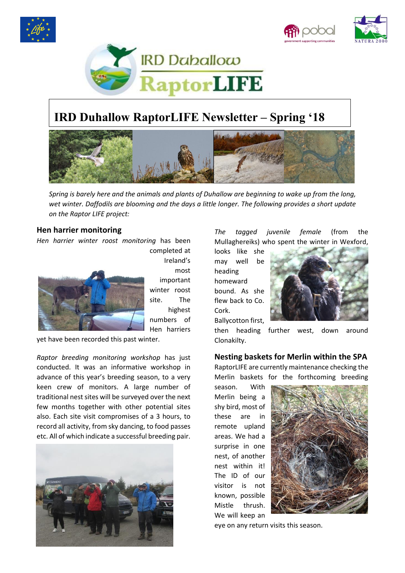





# **IRD Duhallow RaptorLIFE Newsletter – Spring '18**



*Spring is barely here and the animals and plants of Duhallow are beginning to wake up from the long, wet winter. Daffodils are blooming and the days a little longer. The following provides a short update on the Raptor LIFE project:*

### **Hen harrier monitoring**

*Hen harrier winter roost monitoring* has been



completed at Ireland's most important winter roost site. The highest numbers of Hen harriers

yet have been recorded this past winter.

*Raptor breeding monitoring workshop* has just conducted. It was an informative workshop in advance of this year's breeding season, to a very keen crew of monitors. A large number of traditional nest sites will be surveyed over the next few months together with other potential sites also. Each site visit compromises of a 3 hours, to record all activity, from sky dancing, to food passes etc. All of which indicate a successful breeding pair.



*The tagged juvenile female* (from the Mullaghereiks) who spent the winter in Wexford,

looks like she may well be heading homeward bound. As she flew back to Co. Cork. Ballycotton first,



then heading further west, down around Clonakilty.

### **Nesting baskets for Merlin within the SPA**

RaptorLIFE are currently maintenance checking the Merlin baskets for the forthcoming breeding

season. With Merlin being a shy bird, most of these are in remote upland areas. We had a surprise in one nest, of another nest within it! The ID of our visitor is not known, possible Mistle thrush. We will keep an



eye on any return visits this season.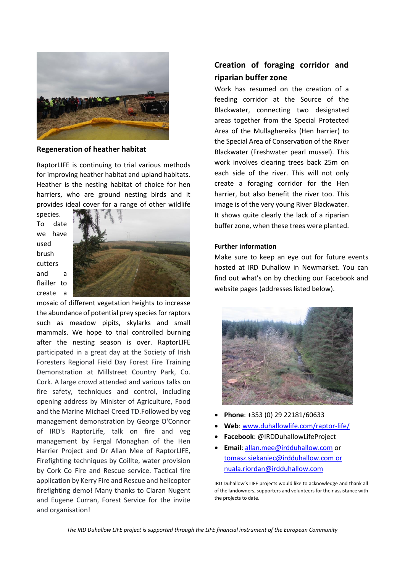

**Regeneration of heather habitat**

RaptorLIFE is continuing to trial various methods for improving heather habitat and upland habitats. Heather is the nesting habitat of choice for hen harriers, who are ground nesting birds and it provides ideal cover for a range of other wildlife

species. To date we have used brush cutters and a flailler to create a



mosaic of different vegetation heights to increase the abundance of potential prey species for raptors such as meadow pipits, skylarks and small mammals. We hope to trial controlled burning after the nesting season is over. RaptorLIFE participated in a great day at the Society of Irish Foresters Regional Field Day Forest Fire Training Demonstration at Millstreet Country Park, Co. Cork. A large crowd attended and various talks on fire safety, techniques and control, including opening address by Minister of Agriculture, Food and the Marine Michael Creed TD.Followed by veg management demonstration by George O'Connor of IRD's RaptorLife, talk on fire and veg management by Fergal Monaghan of the Hen Harrier Project and Dr Allan Mee of RaptorLIFE, Firefighting techniques by Coillte, water provision by Cork Co Fire and Rescue service. Tactical fire application by Kerry Fire and Rescue and helicopter firefighting demo! Many thanks to Ciaran Nugent and Eugene Curran, Forest Service for the invite and organisation!

## **Creation of foraging corridor and riparian buffer zone**

Work has resumed on the creation of a feeding corridor at the Source of the Blackwater, connecting two designated areas together from the Special Protected Area of the Mullaghereiks (Hen harrier) to the Special Area of Conservation of the River Blackwater (Freshwater pearl mussel). This work involves clearing trees back 25m on each side of the river. This will not only create a foraging corridor for the Hen harrier, but also benefit the river too. This image is of the very young River Blackwater. It shows quite clearly the lack of a riparian buffer zone, when these trees were planted.

#### **Further information**

Make sure to keep an eye out for future events hosted at IRD Duhallow in Newmarket. You can find out what's on by checking our Facebook and website pages (addresses listed below).



- **Phone**: +353 (0) 29 22181/60633
- **Web**: [www.duhallowlife.com/raptor-life/](http://www.duhallowlife.com/raptor-life/)
- **Facebook**: @IRDDuhallowLifeProject
- **Email**: [allan.mee@irdduhallow.com](mailto:allan.mee@irdduhallow.com) or [tomasz.siekaniec@irdduhallow.com](mailto:tomasz.siekaniec@irdduhallow.com) or [nuala.riordan@irdduhallow.com](mailto:nuala.riordan@irdduhallow.com)

IRD Duhallow's LIFE projects would like to acknowledge and thank all of the landowners, supporters and volunteers for their assistance with the projects to date.